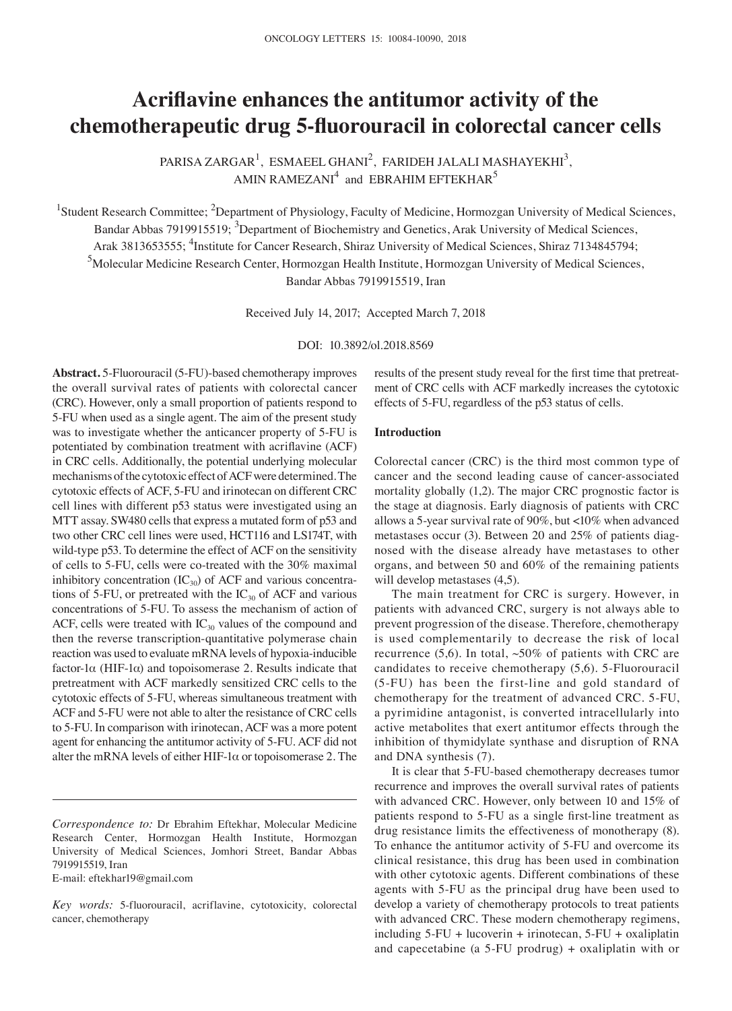# **Acriflavine enhances the antitumor activity of the chemotherapeutic drug 5‑fluorouracil in colorectal cancer cells**

 $\mathtt{PARISA\,ZARGAR}^{1}$ ,  $\mathtt{ESMAEEL\,GHANI}^{2}$ ,  $\mathtt{FARIDEH\,JALALI\,MASHAYEKHI}^{3}$ , AMIN RAMEZANI $<sup>4</sup>$  and EBRAHIM EFTEKHAR<sup>5</sup></sup>

<sup>1</sup>Student Research Committee; <sup>2</sup>Department of Physiology, Faculty of Medicine, Hormozgan University of Medical Sciences, Bandar Abbas 7919915519; <sup>3</sup>Department of Biochemistry and Genetics, Arak University of Medical Sciences, Arak 3813653555; <sup>4</sup>Institute for Cancer Research, Shiraz University of Medical Sciences, Shiraz 7134845794; <sup>5</sup>Molecular Medicine Research Center, Hormozgan Health Institute, Hormozgan University of Medical Sciences, Bandar Abbas 7919915519, Iran

Received July 14, 2017; Accepted March 7, 2018

DOI: 10.3892/ol.2018.8569

**Abstract.** 5-Fluorouracil (5-FU)-based chemotherapy improves the overall survival rates of patients with colorectal cancer (CRC). However, only a small proportion of patients respond to 5-FU when used as a single agent. The aim of the present study was to investigate whether the anticancer property of 5-FU is potentiated by combination treatment with acriflavine (ACF) in CRC cells. Additionally, the potential underlying molecular mechanisms of the cytotoxic effect of ACF were determined. The cytotoxic effects of ACF, 5‑FU and irinotecan on different CRC cell lines with different p53 status were investigated using an MTT assay. SW480 cells that express a mutated form of p53 and two other CRC cell lines were used, HCT116 and LS174T, with wild-type p53. To determine the effect of ACF on the sensitivity of cells to 5-FU, cells were co-treated with the 30% maximal inhibitory concentration  $(IC_{30})$  of ACF and various concentrations of 5-FU, or pretreated with the  $IC_{30}$  of ACF and various concentrations of 5-FU. To assess the mechanism of action of ACF, cells were treated with  $IC_{30}$  values of the compound and then the reverse transcription-quantitative polymerase chain reaction was used to evaluate mRNA levels of hypoxia-inducible factor-1 $\alpha$  (HIF-1 $\alpha$ ) and topoisomerase 2. Results indicate that pretreatment with ACF markedly sensitized CRC cells to the cytotoxic effects of 5-FU, whereas simultaneous treatment with ACF and 5‑FU were not able to alter the resistance of CRC cells to 5‑FU. In comparison with irinotecan, ACF was a more potent agent for enhancing the antitumor activity of 5‑FU. ACF did not alter the mRNA levels of either HIF-1 $\alpha$  or topoisomerase 2. The

E‑mail: eftekhar19@gmail.com

results of the present study reveal for the first time that pretreatment of CRC cells with ACF markedly increases the cytotoxic effects of 5-FU, regardless of the p53 status of cells.

## **Introduction**

Colorectal cancer (CRC) is the third most common type of cancer and the second leading cause of cancer-associated mortality globally (1,2). The major CRC prognostic factor is the stage at diagnosis. Early diagnosis of patients with CRC allows a 5-year survival rate of 90%, but <10% when advanced metastases occur (3). Between 20 and 25% of patients diagnosed with the disease already have metastases to other organs, and between 50 and 60% of the remaining patients will develop metastases (4,5).

The main treatment for CRC is surgery. However, in patients with advanced CRC, surgery is not always able to prevent progression of the disease. Therefore, chemotherapy is used complementarily to decrease the risk of local recurrence (5,6). In total,  $\sim 50\%$  of patients with CRC are candidates to receive chemotherapy (5,6). 5-Fluorouracil (5-FU) has been the first-line and gold standard of chemotherapy for the treatment of advanced CRC. 5-FU, a pyrimidine antagonist, is converted intracellularly into active metabolites that exert antitumor effects through the inhibition of thymidylate synthase and disruption of RNA and DNA synthesis (7).

It is clear that 5-FU-based chemotherapy decreases tumor recurrence and improves the overall survival rates of patients with advanced CRC. However, only between 10 and 15% of patients respond to 5-FU as a single first-line treatment as drug resistance limits the effectiveness of monotherapy (8). To enhance the antitumor activity of 5-FU and overcome its clinical resistance, this drug has been used in combination with other cytotoxic agents. Different combinations of these agents with 5-FU as the principal drug have been used to develop a variety of chemotherapy protocols to treat patients with advanced CRC. These modern chemotherapy regimens, including 5-FU + lucoverin + irinotecan, 5-FU + oxaliplatin and capecetabine (a 5-FU prodrug) + oxaliplatin with or

*Correspondence to:* Dr Ebrahim Eftekhar, Molecular Medicine Research Center, Hormozgan Health Institute, Hormozgan University of Medical Sciences, Jomhori Street, Bandar Abbas 7919915519, Iran

*Key words:* 5-fluorouracil, acriflavine, cytotoxicity, colorectal cancer, chemotherapy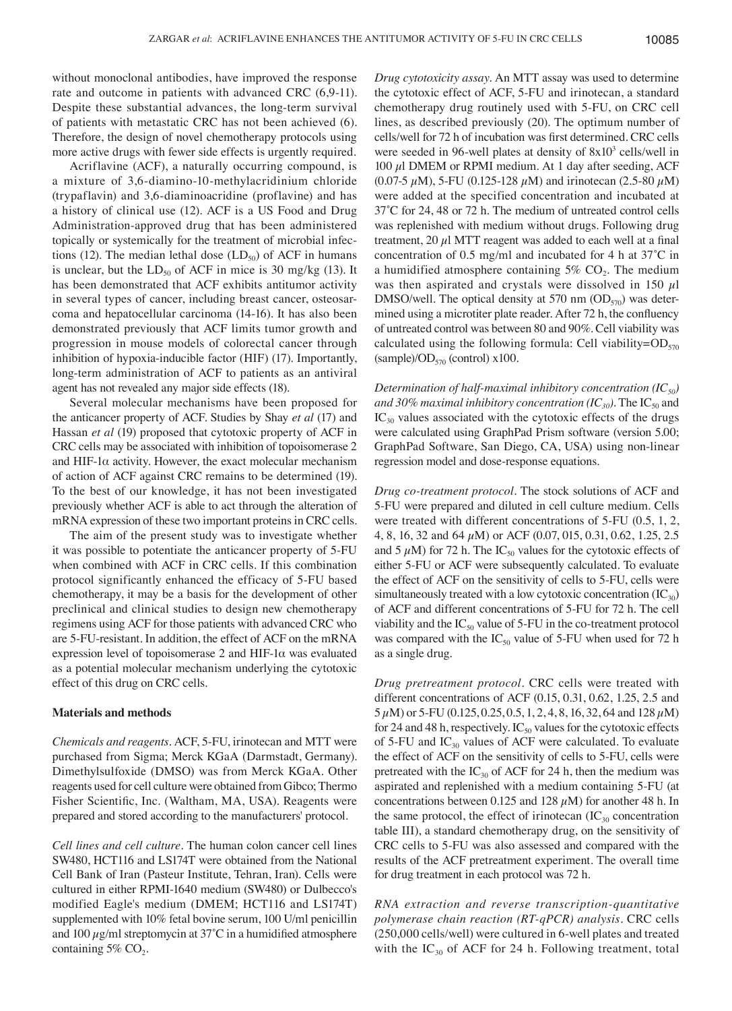without monoclonal antibodies, have improved the response rate and outcome in patients with advanced CRC (6,9-11). Despite these substantial advances, the long-term survival of patients with metastatic CRC has not been achieved (6). Therefore, the design of novel chemotherapy protocols using more active drugs with fewer side effects is urgently required.

Acriflavine (ACF), a naturally occurring compound, is a mixture of 3,6-diamino-10-methylacridinium chloride (trypaflavin) and 3,6-diaminoacridine (proflavine) and has a history of clinical use (12). ACF is a US Food and Drug Administration‑approved drug that has been administered topically or systemically for the treatment of microbial infections (12). The median lethal dose ( $LD_{50}$ ) of ACF in humans is unclear, but the  $LD_{50}$  of ACF in mice is 30 mg/kg (13). It has been demonstrated that ACF exhibits antitumor activity in several types of cancer, including breast cancer, osteosarcoma and hepatocellular carcinoma (14-16). It has also been demonstrated previously that ACF limits tumor growth and progression in mouse models of colorectal cancer through inhibition of hypoxia-inducible factor (HIF) (17). Importantly, long-term administration of ACF to patients as an antiviral agent has not revealed any major side effects (18).

Several molecular mechanisms have been proposed for the anticancer property of ACF. Studies by Shay *et al* (17) and Hassan *et al* (19) proposed that cytotoxic property of ACF in CRC cells may be associated with inhibition of topoisomerase 2 and HIF-1 $\alpha$  activity. However, the exact molecular mechanism of action of ACF against CRC remains to be determined (19). To the best of our knowledge, it has not been investigated previously whether ACF is able to act through the alteration of mRNA expression of these two important proteins in CRC cells.

The aim of the present study was to investigate whether it was possible to potentiate the anticancer property of 5-FU when combined with ACF in CRC cells. If this combination protocol significantly enhanced the efficacy of 5-FU based chemotherapy, it may be a basis for the development of other preclinical and clinical studies to design new chemotherapy regimens using ACF for those patients with advanced CRC who are 5‑FU‑resistant. In addition, the effect of ACF on the mRNA expression level of topoisomerase 2 and HIF-1α was evaluated as a potential molecular mechanism underlying the cytotoxic effect of this drug on CRC cells.

# **Materials and methods**

*Chemicals and reagents.* ACF, 5‑FU, irinotecan and MTT were purchased from Sigma; Merck KGaA (Darmstadt, Germany). Dimethylsulfoxide (DMSO) was from Merck KGaA. Other reagents used for cell culture were obtained from Gibco; Thermo Fisher Scientific, Inc. (Waltham, MA, USA). Reagents were prepared and stored according to the manufacturers' protocol.

*Cell lines and cell culture.* The human colon cancer cell lines SW480, HCT116 and LS174T were obtained from the National Cell Bank of Iran (Pasteur Institute, Tehran, Iran). Cells were cultured in either RPMI-1640 medium (SW480) or Dulbecco's modified Eagle's medium (DMEM; HCT116 and LS174T) supplemented with 10% fetal bovine serum, 100 U/ml penicillin and 100  $\mu$ g/ml streptomycin at 37°C in a humidified atmosphere containing  $5\%$  CO<sub>2</sub>.

*Drug cytotoxicity assay.* An MTT assay was used to determine the cytotoxic effect of ACF, 5‑FU and irinotecan, a standard chemotherapy drug routinely used with 5-FU, on CRC cell lines, as described previously (20). The optimum number of cells/well for 72 h of incubation was first determined. CRC cells were seeded in 96-well plates at density of  $8x10<sup>3</sup>$  cells/well in 100  $\mu$ l DMEM or RPMI medium. At 1 day after seeding, ACF (0.07-5  $\mu$ M), 5-FU (0.125-128  $\mu$ M) and irinotecan (2.5-80  $\mu$ M) were added at the specified concentration and incubated at 37˚C for 24, 48 or 72 h. The medium of untreated control cells was replenished with medium without drugs. Following drug treatment,  $20 \mu$ l MTT reagent was added to each well at a final concentration of 0.5 mg/ml and incubated for 4 h at 37˚C in a humidified atmosphere containing  $5\%$  CO<sub>2</sub>. The medium was then aspirated and crystals were dissolved in 150  $\mu$ l DMSO/well. The optical density at 570 nm  $(OD<sub>570</sub>)$  was determined using a microtiter plate reader. After 72 h, the confluency of untreated control was between 80 and 90%. Cell viability was calculated using the following formula: Cell viability= $OD_{570}$  $(sample)/OD_{570}$  (control) x100.

*Determination of half-maximal inhibitory concentration (IC<sub>50</sub>) and 30% maximal inhibitory concentration (IC<sub>30</sub>).* The IC<sub>50</sub> and  $IC_{30}$  values associated with the cytotoxic effects of the drugs were calculated using GraphPad Prism software (version 5.00; GraphPad Software, San Diego, CA, USA) using non‑linear regression model and dose-response equations.

*Drug co-treatment protocol.* The stock solutions of ACF and 5-FU were prepared and diluted in cell culture medium. Cells were treated with different concentrations of 5-FU (0.5, 1, 2, 4, 8, 16, 32 and 64 µM) or ACF (0.07, 015, 0.31, 0.62, 1.25, 2.5 and 5  $\mu$ M) for 72 h. The IC<sub>50</sub> values for the cytotoxic effects of either 5‑FU or ACF were subsequently calculated. To evaluate the effect of ACF on the sensitivity of cells to 5‑FU, cells were simultaneously treated with a low cytotoxic concentration  $(IC_{30})$ of ACF and different concentrations of 5‑FU for 72 h. The cell viability and the  $IC_{50}$  value of 5-FU in the co-treatment protocol was compared with the  $IC_{50}$  value of 5-FU when used for 72 h as a single drug.

*Drug pretreatment protocol.* CRC cells were treated with different concentrations of ACF (0.15, 0.31, 0.62, 1.25, 2.5 and  $5 \mu$ M) or 5-FU (0.125, 0.25, 0.5, 1, 2, 4, 8, 16, 32, 64 and 128  $\mu$ M) for 24 and 48 h, respectively.  $IC_{50}$  values for the cytotoxic effects of 5-FU and  $IC_{30}$  values of ACF were calculated. To evaluate the effect of ACF on the sensitivity of cells to 5‑FU, cells were pretreated with the  $IC_{30}$  of ACF for 24 h, then the medium was aspirated and replenished with a medium containing 5-FU (at concentrations between 0.125 and 128  $\mu$ M) for another 48 h. In the same protocol, the effect of irinotecan  $(IC_{30}$  concentration table III), a standard chemotherapy drug, on the sensitivity of CRC cells to 5-FU was also assessed and compared with the results of the ACF pretreatment experiment. The overall time for drug treatment in each protocol was 72 h.

*RNA extraction and reverse transcription‑quantitative polymerase chain reaction (RT‑qPCR) analysis.* CRC cells (250,000 cells/well) were cultured in 6-well plates and treated with the  $IC_{30}$  of ACF for 24 h. Following treatment, total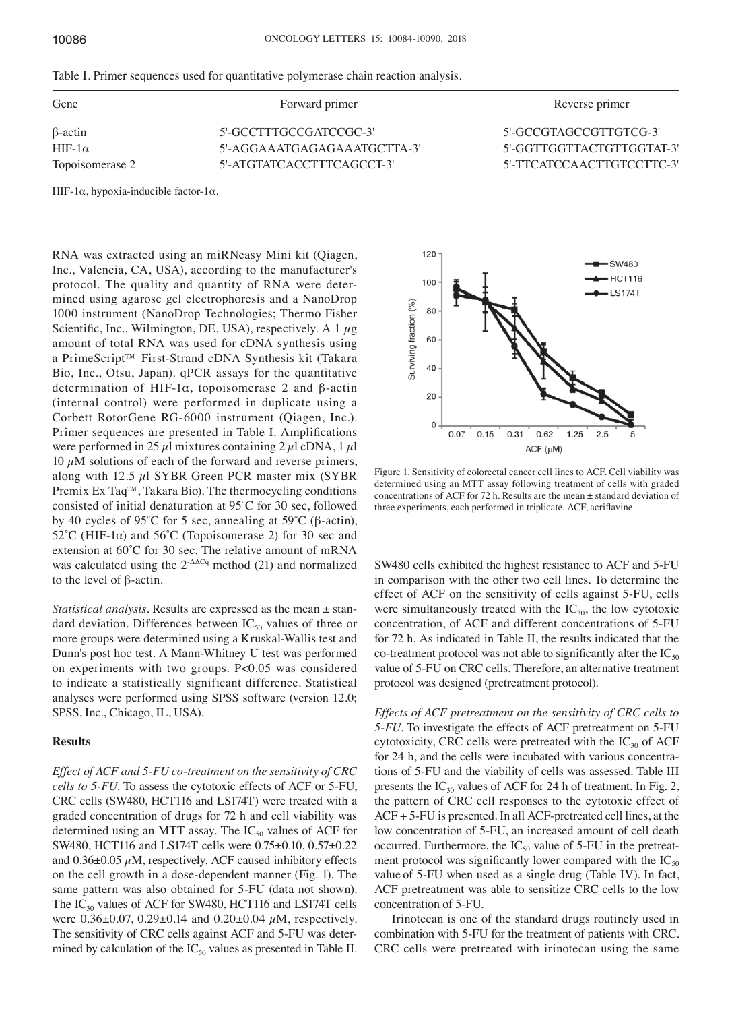| Forward primer              | Reverse primer            |
|-----------------------------|---------------------------|
| 5'-GCCTTTGCCGATCCGC-3'      | 5'-GCCGTAGCCGTTGTCG-3'    |
| 5'-AGGAAATGAGAGAAATGCTTA-3' | 5'-GGTTGGTTACTGTTGGTAT-3  |
| 5'-ATGTATCACCTTTCAGCCT-3'   | 5'-TTCATCCAACTTGTCCTTC-3' |
|                             |                           |

Table Ι. Primer sequences used for quantitative polymerase chain reaction analysis.

HIF-1α, hypoxia-inducible factor-1α.

RNA was extracted using an miRNeasy Mini kit (Qiagen, Inc., Valencia, CA, USA), according to the manufacturer's protocol. The quality and quantity of RNA were determined using agarose gel electrophoresis and a NanoDrop 1000 instrument (NanoDrop Technologies; Thermo Fisher Scientific, Inc., Wilmington, DE, USA), respectively. A 1  $\mu$ g amount of total RNA was used for cDNA synthesis using a PrimeScript™ First‑Strand cDNA Synthesis kit (Takara Bio, Inc., Otsu, Japan). qPCR assays for the quantitative determination of HIF-1α, topoisomerase 2 and β-actin (internal control) were performed in duplicate using a Corbett RotorGene RG‑6000 instrument (Qiagen, Inc.). Primer sequences are presented in Table I. Amplifications were performed in 25  $\mu$ l mixtures containing 2  $\mu$ l cDNA, 1  $\mu$ l  $10 \mu$ M solutions of each of the forward and reverse primers, along with  $12.5 \mu$ l SYBR Green PCR master mix (SYBR Premix Ex Taq™, Takara Bio). The thermocycling conditions consisted of initial denaturation at 95˚C for 30 sec, followed by 40 cycles of 95˚C for 5 sec, annealing at 59˚C (β-actin), 52°C (HIF-1 $\alpha$ ) and 56°C (Topoisomerase 2) for 30 sec and extension at 60˚C for 30 sec. The relative amount of mRNA was calculated using the  $2-\Delta Cq$  method (21) and normalized to the level of β-actin.

*Statistical analysis.* Results are expressed as the mean ± standard deviation. Differences between  $IC_{50}$  values of three or more groups were determined using a Kruskal‑Wallis test and Dunn's post hoc test. A Mann‑Whitney U test was performed on experiments with two groups. P<0.05 was considered to indicate a statistically significant difference. Statistical analyses were performed using SPSS software (version 12.0; SPSS, Inc., Chicago, IL, USA).

# **Results**

*Effect of ACF and 5‑FU co‑treatment on the sensitivity of CRC cells to 5‑FU.* To assess the cytotoxic effects of ACF or 5‑FU, CRC cells (SW480, HCT116 and LS174T) were treated with a graded concentration of drugs for 72 h and cell viability was determined using an MTT assay. The  $IC_{50}$  values of ACF for SW480, HCT116 and LS174T cells were 0.75±0.10, 0.57±0.22 and  $0.36\pm0.05 \mu$ M, respectively. ACF caused inhibitory effects on the cell growth in a dose-dependent manner (Fig. 1). The same pattern was also obtained for 5-FU (data not shown). The  $IC_{30}$  values of ACF for SW480, HCT116 and LS174T cells were  $0.36 \pm 0.07$ ,  $0.29 \pm 0.14$  and  $0.20 \pm 0.04$   $\mu$ M, respectively. The sensitivity of CRC cells against ACF and 5‑FU was determined by calculation of the  $IC_{50}$  values as presented in Table II.



Figure 1. Sensitivity of colorectal cancer cell lines to ACF. Cell viability was determined using an MTT assay following treatment of cells with graded concentrations of ACF for 72 h. Results are the mean ± standard deviation of three experiments, each performed in triplicate. ACF, acriflavine.

SW480 cells exhibited the highest resistance to ACF and 5‑FU in comparison with the other two cell lines. To determine the effect of ACF on the sensitivity of cells against 5‑FU, cells were simultaneously treated with the  $IC_{30}$ , the low cytotoxic concentration, of ACF and different concentrations of 5‑FU for 72 h. As indicated in Table II, the results indicated that the co-treatment protocol was not able to significantly alter the  $IC_{50}$ value of 5-FU on CRC cells. Therefore, an alternative treatment protocol was designed (pretreatment protocol).

*Effects of ACF pretreatment on the sensitivity of CRC cells to 5‑FU.* To investigate the effects of ACF pretreatment on 5‑FU cytotoxicity, CRC cells were pretreated with the  $IC_{30}$  of ACF for 24 h, and the cells were incubated with various concentrations of 5-FU and the viability of cells was assessed. Table III presents the  $IC_{30}$  values of ACF for 24 h of treatment. In Fig. 2, the pattern of CRC cell responses to the cytotoxic effect of ACF + 5‑FU is presented. In all ACF‑pretreated cell lines, at the low concentration of 5-FU, an increased amount of cell death occurred. Furthermore, the  $IC_{50}$  value of 5-FU in the pretreatment protocol was significantly lower compared with the  $IC_{50}$ value of 5‑FU when used as a single drug (Table IV). In fact, ACF pretreatment was able to sensitize CRC cells to the low concentration of 5-FU.

Irinotecan is one of the standard drugs routinely used in combination with 5-FU for the treatment of patients with CRC. CRC cells were pretreated with irinotecan using the same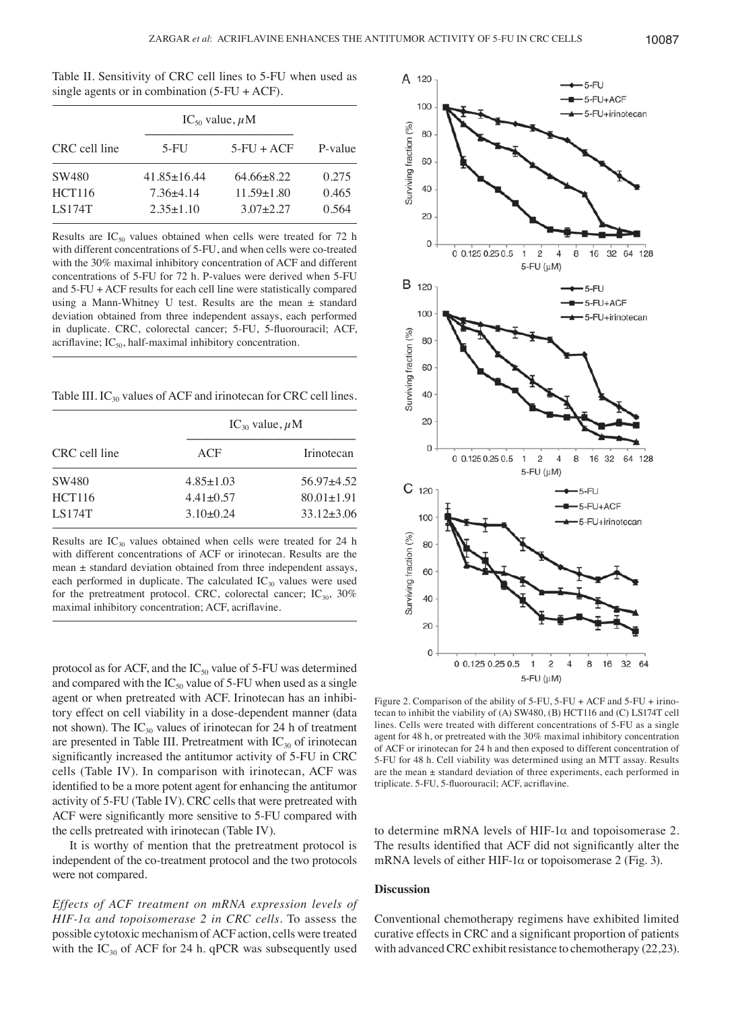Table II. Sensitivity of CRC cell lines to 5-FU when used as single agents or in combination  $(5$ -FU + ACF).

|               | IC <sub>50</sub> value, $\mu$ M |                  |         |  |
|---------------|---------------------------------|------------------|---------|--|
| CRC cell line | $5-FU$                          | $5-FU+ACF$       | P-value |  |
| SW480         | $41.85 \pm 16.44$               | $64.66 \pm 8.22$ | 0.275   |  |
| <b>HCT116</b> | $7.36 + 4.14$                   | $11.59 + 1.80$   | 0.465   |  |
| LS174T        | $2.35 \pm 1.10$                 | $3.07 + 2.27$    | 0.564   |  |

Results are  $IC_{50}$  values obtained when cells were treated for 72 h with different concentrations of 5-FU, and when cells were co-treated with the 30% maximal inhibitory concentration of ACF and different concentrations of 5-FU for 72 h. P-values were derived when 5-FU and 5‑FU + ACF results for each cell line were statistically compared using a Mann-Whitney U test. Results are the mean  $\pm$  standard deviation obtained from three independent assays, each performed in duplicate. CRC, colorectal cancer; 5‑FU, 5‑fluorouracil; ACF, acriflavine;  $IC_{50}$ , half-maximal inhibitory concentration.

Table III.  $IC_{30}$  values of ACF and irinotecan for CRC cell lines.

| CRC cell line | $IC_{30}$ value, $\mu$ M |                   |  |  |
|---------------|--------------------------|-------------------|--|--|
|               | ACF                      | <b>Irinotecan</b> |  |  |
| SW480         | $4.85 \pm 1.03$          | $56.97 + 4.52$    |  |  |
| <b>HCT116</b> | $4.41 \pm 0.57$          | $80.01 \pm 1.91$  |  |  |
| <b>LS174T</b> | $3.10\pm0.24$            | $33.12 \pm 3.06$  |  |  |

Results are  $IC_{30}$  values obtained when cells were treated for 24 h with different concentrations of ACF or irinotecan. Results are the mean ± standard deviation obtained from three independent assays, each performed in duplicate. The calculated  $IC_{30}$  values were used for the pretreatment protocol. CRC, colorectal cancer;  $IC_{30}$ , 30% maximal inhibitory concentration; ACF, acriflavine.

protocol as for ACF, and the  $IC_{50}$  value of 5-FU was determined and compared with the  $IC_{50}$  value of 5-FU when used as a single agent or when pretreated with ACF. Irinotecan has an inhibitory effect on cell viability in a dose-dependent manner (data not shown). The  $IC_{30}$  values of irinotecan for 24 h of treatment are presented in Table III. Pretreatment with  $IC_{30}$  of irinotecan significantly increased the antitumor activity of 5‑FU in CRC cells (Table IV). In comparison with irinotecan, ACF was identified to be a more potent agent for enhancing the antitumor activity of 5‑FU (Table IV). CRC cells that were pretreated with ACF were significantly more sensitive to 5‑FU compared with the cells pretreated with irinotecan (Table IV).

It is worthy of mention that the pretreatment protocol is independent of the co-treatment protocol and the two protocols were not compared.

*Effects of ACF treatment on mRNA expression levels of HIF‑1α and topoisomerase 2 in CRC cells.* To assess the possible cytotoxic mechanism of ACF action, cells were treated with the  $IC_{30}$  of ACF for 24 h. qPCR was subsequently used



Figure 2. Comparison of the ability of 5-FU, 5-FU + ACF and 5-FU + irinotecan to inhibit the viability of (A) SW480, (B) HCT116 and (C) LS174T cell lines. Cells were treated with different concentrations of 5-FU as a single agent for 48 h, or pretreated with the 30% maximal inhibitory concentration of ACF or irinotecan for 24 h and then exposed to different concentration of 5-FU for 48 h. Cell viability was determined using an MTT assay. Results are the mean ± standard deviation of three experiments, each performed in triplicate. 5‑FU, 5‑fluorouracil; ACF, acriflavine.

to determine mRNA levels of HIF-1 $\alpha$  and topoisomerase 2. The results identified that ACF did not significantly alter the mRNA levels of either HIF-1 $\alpha$  or topoisomerase 2 (Fig. 3).

# **Discussion**

Conventional chemotherapy regimens have exhibited limited curative effects in CRC and a significant proportion of patients with advanced CRC exhibit resistance to chemotherapy (22,23).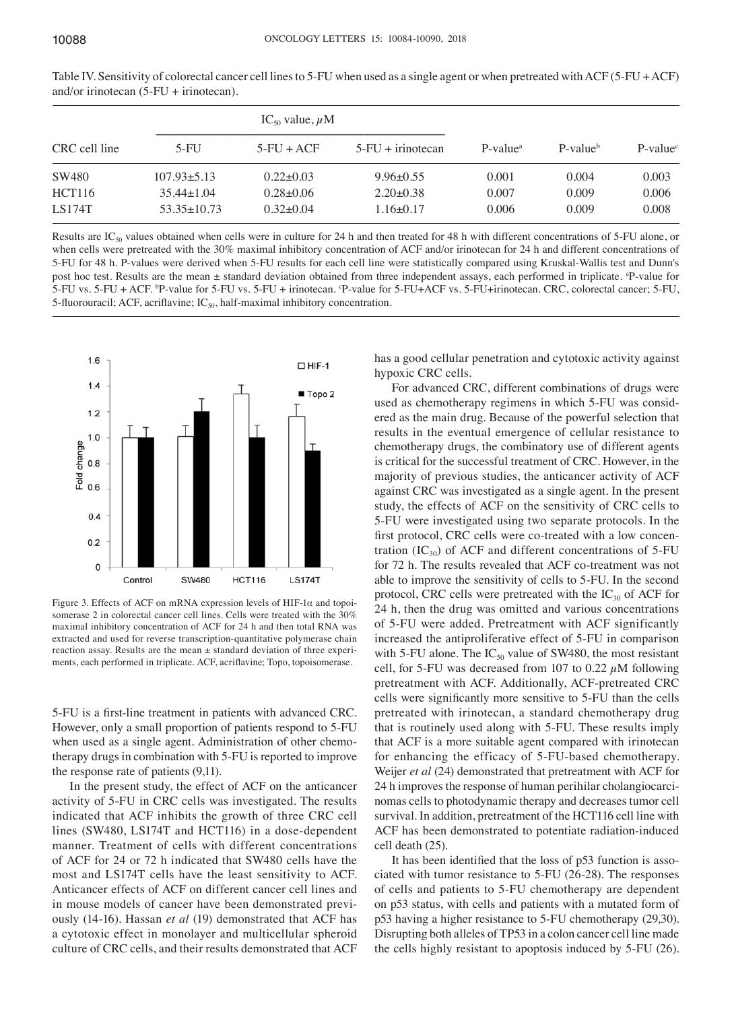| CRC cell line | IC <sub>50</sub> value, $\mu$ M |                 |                            |            |             |            |
|---------------|---------------------------------|-----------------|----------------------------|------------|-------------|------------|
|               | $5-FU$                          | $5-FU+ACF$      | $5-FU + i\text{rinotecan}$ | $P-valuea$ | $P-value^b$ | $P-valuec$ |
| SW480         | $107.93 \pm 5.13$               | $0.22 \pm 0.03$ | $9.96 \pm 0.55$            | 0.001      | 0.004       | 0.003      |
| <b>HCT116</b> | $35.44 \pm 1.04$                | $0.28 \pm 0.06$ | $2.20 \pm 0.38$            | 0.007      | 0.009       | 0.006      |
| <b>LS174T</b> | $53.35 \pm 10.73$               | $0.32 \pm 0.04$ | $1.16 \pm 0.17$            | 0.006      | 0.009       | 0.008      |

Table IV. Sensitivity of colorectal cancer cell lines to 5–FU when used as a single agent or when pretreated with ACF (5–FU + ACF) and/or irinotecan (5-FU + irinotecan).

Results are IC<sub>50</sub> values obtained when cells were in culture for 24 h and then treated for 48 h with different concentrations of 5-FU alone, or when cells were pretreated with the 30% maximal inhibitory concentration of ACF and/or irinotecan for 24 h and different concentrations of 5–FU for 48 h. P-values were derived when 5–FU results for each cell line were statistically compared using Kruskal-Wallis test and Dunn's post hoc test. Results are the mean ± standard deviation obtained from three independent assays, each performed in triplicate. <sup>a</sup>P-value for 5-FU vs. 5-FU + ACF. <sup>b</sup>P-value for 5-FU vs. 5-FU + irinotecan. °P-value for 5-FU+ACF vs. 5-FU+irinotecan. CRC, colorectal cancer; 5-FU, 5-fluorouracil; ACF, acriflavine;  $IC_{50}$ , half-maximal inhibitory concentration.



Figure 3. Effects of ACF on mRNA expression levels of HIF-1 $\alpha$  and topoisomerase 2 in colorectal cancer cell lines. Cells were treated with the 30% maximal inhibitory concentration of ACF for 24 h and then total RNA was extracted and used for reverse transcription-quantitative polymerase chain reaction assay. Results are the mean  $\pm$  standard deviation of three experiments, each performed in triplicate. ACF, acriflavine; Topo, topoisomerase.

5‑FU is a first‑line treatment in patients with advanced CRC. However, only a small proportion of patients respond to 5-FU when used as a single agent. Administration of other chemotherapy drugs in combination with 5-FU is reported to improve the response rate of patients (9,11).

In the present study, the effect of ACF on the anticancer activity of 5-FU in CRC cells was investigated. The results indicated that ACF inhibits the growth of three CRC cell lines (SW480, LS174T and HCT116) in a dose-dependent manner. Treatment of cells with different concentrations of ACF for 24 or 72 h indicated that SW480 cells have the most and LS174T cells have the least sensitivity to ACF. Anticancer effects of ACF on different cancer cell lines and in mouse models of cancer have been demonstrated previously (14-16). Hassan *et al* (19) demonstrated that ACF has a cytotoxic effect in monolayer and multicellular spheroid culture of CRC cells, and their results demonstrated that ACF has a good cellular penetration and cytotoxic activity against hypoxic CRC cells.

For advanced CRC, different combinations of drugs were used as chemotherapy regimens in which 5-FU was considered as the main drug. Because of the powerful selection that results in the eventual emergence of cellular resistance to chemotherapy drugs, the combinatory use of different agents is critical for the successful treatment of CRC. However, in the majority of previous studies, the anticancer activity of ACF against CRC was investigated as a single agent. In the present study, the effects of ACF on the sensitivity of CRC cells to 5-FU were investigated using two separate protocols. In the first protocol, CRC cells were co-treated with a low concentration  $(IC_{30})$  of ACF and different concentrations of 5-FU for 72 h. The results revealed that ACF co-treatment was not able to improve the sensitivity of cells to 5-FU. In the second protocol, CRC cells were pretreated with the  $IC_{30}$  of ACF for 24 h, then the drug was omitted and various concentrations of 5‑FU were added. Pretreatment with ACF significantly increased the antiproliferative effect of 5-FU in comparison with 5-FU alone. The  $IC_{50}$  value of SW480, the most resistant cell, for 5-FU was decreased from 107 to 0.22  $\mu$ M following pretreatment with ACF. Additionally, ACF‑pretreated CRC cells were significantly more sensitive to 5‑FU than the cells pretreated with irinotecan, a standard chemotherapy drug that is routinely used along with 5-FU. These results imply that ACF is a more suitable agent compared with irinotecan for enhancing the efficacy of 5-FU-based chemotherapy. Weijer *et al* (24) demonstrated that pretreatment with ACF for 24 h improves the response of human perihilar cholangiocarcinomas cells to photodynamic therapy and decreases tumor cell survival. In addition, pretreatment of the HCT116 cell line with ACF has been demonstrated to potentiate radiation‑induced cell death (25).

It has been identified that the loss of p53 function is associated with tumor resistance to 5-FU (26-28). The responses of cells and patients to 5-FU chemotherapy are dependent on p53 status, with cells and patients with a mutated form of p53 having a higher resistance to 5-FU chemotherapy (29,30). Disrupting both alleles of TP53 in a colon cancer cell line made the cells highly resistant to apoptosis induced by 5-FU (26).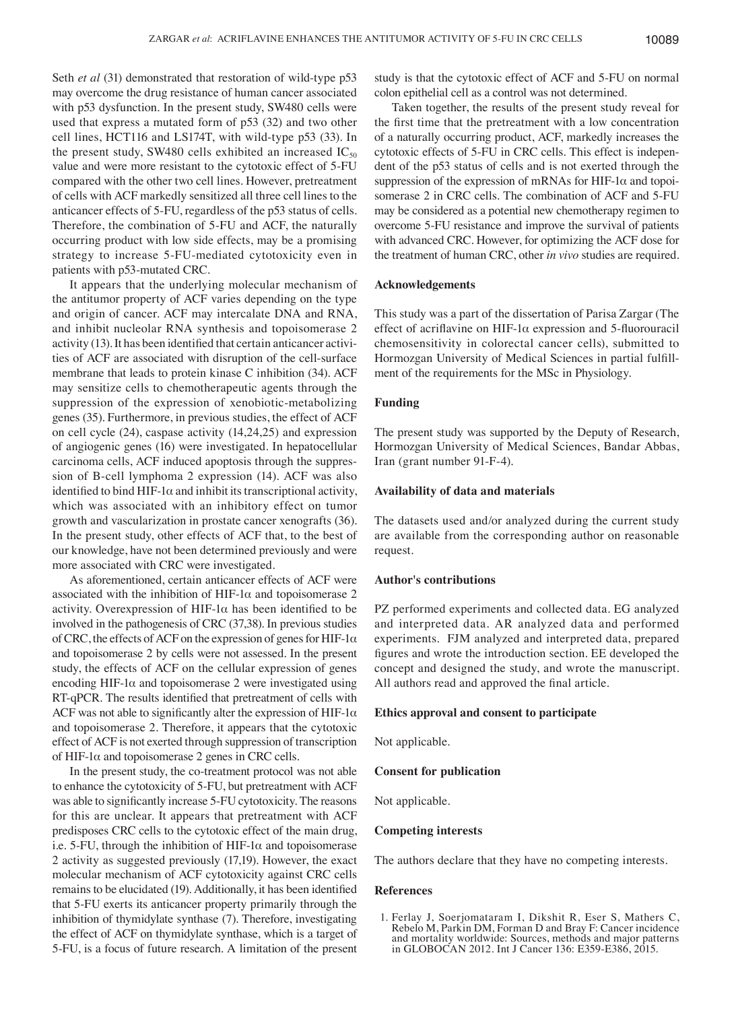Seth *et al* (31) demonstrated that restoration of wild-type p53 may overcome the drug resistance of human cancer associated with p53 dysfunction. In the present study, SW480 cells were used that express a mutated form of p53 (32) and two other cell lines, HCT116 and LS174T, with wild-type p53 (33). In the present study, SW480 cells exhibited an increased  $IC_{50}$ value and were more resistant to the cytotoxic effect of 5-FU compared with the other two cell lines. However, pretreatment of cells with ACF markedly sensitized all three cell lines to the anticancer effects of 5-FU, regardless of the p53 status of cells. Therefore, the combination of 5‑FU and ACF, the naturally occurring product with low side effects, may be a promising strategy to increase 5-FU-mediated cytotoxicity even in patients with p53-mutated CRC.

It appears that the underlying molecular mechanism of the antitumor property of ACF varies depending on the type and origin of cancer. ACF may intercalate DNA and RNA, and inhibit nucleolar RNA synthesis and topoisomerase 2 activity (13). It has been identified that certain anticancer activities of ACF are associated with disruption of the cell-surface membrane that leads to protein kinase C inhibition (34). ACF may sensitize cells to chemotherapeutic agents through the suppression of the expression of xenobiotic-metabolizing genes (35). Furthermore, in previous studies, the effect of ACF on cell cycle (24), caspase activity (14,24,25) and expression of angiogenic genes (16) were investigated. In hepatocellular carcinoma cells, ACF induced apoptosis through the suppression of B‑cell lymphoma 2 expression (14). ACF was also identified to bind HIF-1 $\alpha$  and inhibit its transcriptional activity, which was associated with an inhibitory effect on tumor growth and vascularization in prostate cancer xenografts (36). In the present study, other effects of ACF that, to the best of our knowledge, have not been determined previously and were more associated with CRC were investigated.

As aforementioned, certain anticancer effects of ACF were associated with the inhibition of HIF-1 $\alpha$  and topoisomerase 2 activity. Overexpression of HIF-1 $\alpha$  has been identified to be involved in the pathogenesis of CRC (37,38). In previous studies of CRC, the effects of ACF on the expression of genes for HIF-1 $\alpha$ and topoisomerase 2 by cells were not assessed. In the present study, the effects of ACF on the cellular expression of genes encoding HIF-1 $\alpha$  and topoisomerase 2 were investigated using RT‑qPCR. The results identified that pretreatment of cells with ACF was not able to significantly alter the expression of HIF-1 $\alpha$ and topoisomerase 2. Therefore, it appears that the cytotoxic effect of ACF is not exerted through suppression of transcription of HIF-1 $\alpha$  and topoisomerase 2 genes in CRC cells.

In the present study, the co-treatment protocol was not able to enhance the cytotoxicity of 5‑FU, but pretreatment with ACF was able to significantly increase 5‑FU cytotoxicity. The reasons for this are unclear. It appears that pretreatment with ACF predisposes CRC cells to the cytotoxic effect of the main drug, i.e. 5-FU, through the inhibition of  $HIF-1\alpha$  and topoisomerase 2 activity as suggested previously (17,19). However, the exact molecular mechanism of ACF cytotoxicity against CRC cells remains to be elucidated (19). Additionally, it has been identified that 5-FU exerts its anticancer property primarily through the inhibition of thymidylate synthase (7). Therefore, investigating the effect of ACF on thymidylate synthase, which is a target of 5‑FU, is a focus of future research. A limitation of the present study is that the cytotoxic effect of ACF and 5‑FU on normal colon epithelial cell as a control was not determined.

Taken together, the results of the present study reveal for the first time that the pretreatment with a low concentration of a naturally occurring product, ACF, markedly increases the cytotoxic effects of 5-FU in CRC cells. This effect is independent of the p53 status of cells and is not exerted through the suppression of the expression of mRNAs for HIF-1 $\alpha$  and topoisomerase 2 in CRC cells. The combination of ACF and 5-FU may be considered as a potential new chemotherapy regimen to overcome 5-FU resistance and improve the survival of patients with advanced CRC. However, for optimizing the ACF dose for the treatment of human CRC, other *in vivo* studies are required.

#### **Acknowledgements**

This study was a part of the dissertation of Parisa Zargar (The effect of acriflavine on HIF-1α expression and 5-fluorouracil chemosensitivity in colorectal cancer cells), submitted to Hormozgan University of Medical Sciences in partial fulfillment of the requirements for the MSc in Physiology.

#### **Funding**

The present study was supported by the Deputy of Research, Hormozgan University of Medical Sciences, Bandar Abbas, Iran (grant number 91-F-4).

#### **Availability of data and materials**

The datasets used and/or analyzed during the current study are available from the corresponding author on reasonable request.

# **Author's contributions**

PZ performed experiments and collected data. EG analyzed and interpreted data. AR analyzed data and performed experiments. FJM analyzed and interpreted data, prepared figures and wrote the introduction section. EE developed the concept and designed the study, and wrote the manuscript. All authors read and approved the final article.

#### **Ethics approval and consent to participate**

Not applicable.

# **Consent for publication**

Not applicable.

#### **Competing interests**

The authors declare that they have no competing interests.

#### **References**

1. Ferlay J, Soerjomataram I, Dikshit R, Eser S, Mathers C, Rebelo M, Parkin DM, Forman D and Bray F: Cancer incidence and mortality worldwide: Sources, methods and major patterns in GLOBOCAN 2012. Int J Cancer 136: E359‑E386, 2015.